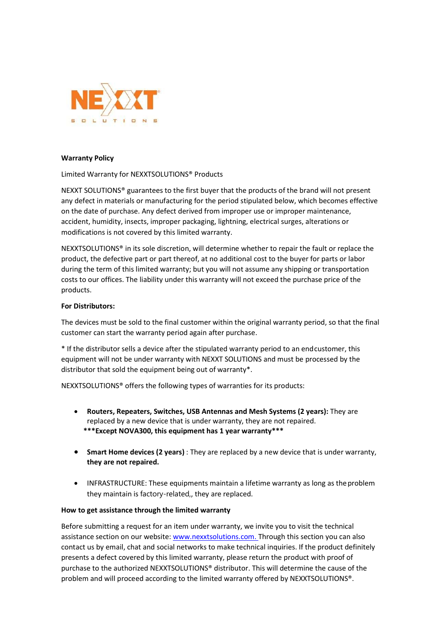

## Warranty Policy

Limited Warranty for NEXXTSOLUTIONS® Products

NEXXT SOLUTIONS® guarantees to the first buyer that the products of the brand will not present any defect in materials or manufacturing for the period stipulated below, which becomes effective on the date of purchase. Any defect derived from improper use or improper maintenance, accident, humidity, insects, improper packaging, lightning, electrical surges, alterations or modifications is not covered by this limited warranty.

NEXXTSOLUTIONS® in its sole discretion, will determine whether to repair the fault or replace the product, the defective part or part thereof, at no additional cost to the buyer for parts or labor during the term of this limited warranty; but you will not assume any shipping or transportation costs to our offices. The liability under this warranty will not exceed the purchase price of the products.

## For Distributors:

The devices must be sold to the final customer within the original warranty period, so that the final customer can start the warranty period again after purchase.

\* If the distributor sells a device after the stipulated warranty period to an end customer, this equipment will not be under warranty with NEXXT SOLUTIONS and must be processed by the distributor that sold the equipment being out of warranty\*.

NEXXTSOLUTIONS® offers the following types of warranties for its products:

- Routers, Repeaters, Switches, USB Antennas and Mesh Systems (2 years): They are replaced by a new device that is under warranty, they are not repaired. \*\*\*Except NOVA300, this equipment has 1 year warranty\*\*\*
- Smart Home devices (2 years) : They are replaced by a new device that is under warranty, they are not repaired.
- INFRASTRUCTURE: These equipments maintain a lifetime warranty as long as the problem they maintain is factory-related,, they are replaced.

## How to get assistance through the limited warranty

Before submitting a request for an item under warranty, we invite you to visit the technical assistance section on our website: www.nexxtsolutions.com. Through this section you can also contact us by email, chat and social networks to make technical inquiries. If the product definitely presents a defect covered by this limited warranty, please return the product with proof of purchase to the authorized NEXXTSOLUTIONS® distributor. This will determine the cause of the problem and will proceed according to the limited warranty offered by NEXXTSOLUTIONS®.